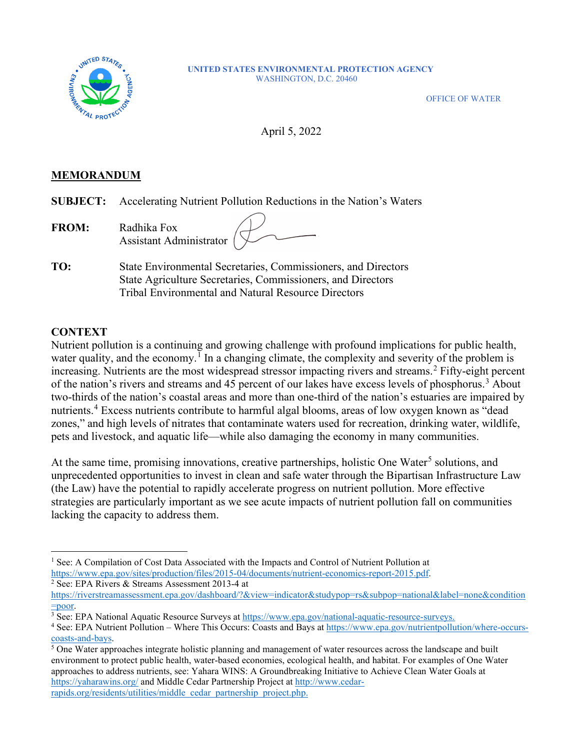

#### **UNITED STATES ENVIRONMENTAL PROTECTION AGENCY** WASHINGTON, D.C. 20460

OFFICE OF WATER

April 5, 2022

## **MEMORANDUM**

**SUBJECT:** Accelerating Nutrient Pollution Reductions in the Nation's Waters

| <b>FROM:</b> | Radhika Fox<br>Assistant Administrator $($ |  |
|--------------|--------------------------------------------|--|
|              |                                            |  |

**TO:** State Environmental Secretaries, Commissioners, and Directors State Agriculture Secretaries, Commissioners, and Directors Tribal Environmental and Natural Resource Directors

#### **CONTEXT**

Nutrient pollution is a continuing and growing challenge with profound implications for public health, water quality, and the economy.<sup>[1](#page-0-0)</sup> In a changing climate, the complexity and severity of the problem is increasing. Nutrients are the most widespread stressor impacting rivers and streams.[2](#page-0-1) Fifty-eight percent of the nation's rivers and streams and 45 percent of our lakes have excess levels of phosphorus.<sup>[3](#page-0-2)</sup> About two-thirds of the nation's coastal areas and more than one-third of the nation's estuaries are impaired by nutrients.[4](#page-0-3) Excess nutrients contribute to harmful algal blooms, areas of low oxygen known as "dead zones," and high levels of nitrates that contaminate waters used for recreation, drinking water, wildlife, pets and livestock, and aquatic life—while also damaging the economy in many communities.

At the same time, promising innovations, creative partnerships, holistic One Water<sup>[5](#page-0-4)</sup> solutions, and unprecedented opportunities to invest in clean and safe water through the Bipartisan Infrastructure Law (the Law) have the potential to rapidly accelerate progress on nutrient pollution. More effective strategies are particularly important as we see acute impacts of nutrient pollution fall on communities lacking the capacity to address them.

<span id="page-0-0"></span><sup>&</sup>lt;sup>1</sup> See: A Compilation of Cost Data Associated with the Impacts and Control of Nutrient Pollution at [https://www.epa.gov/sites/production/files/2015-04/documents/nutrient-economics-report-2015.pdf.](https://www.epa.gov/sites/production/files/2015-04/documents/nutrient-economics-report-2015.pdf)<br><sup>2</sup> See: EPA Rivers & Streams Assessment 2013-4 at

<span id="page-0-1"></span>

[https://riverstreamassessment.epa.gov/dashboard/?&view=indicator&studypop=rs&subpop=national&label=none&condition](https://riverstreamassessment.epa.gov/dashboard/?&view=indicator&studypop=rs&subpop=national&label=none&condition=poor)

<span id="page-0-2"></span>[<sup>=</sup>poor.](https://riverstreamassessment.epa.gov/dashboard/?&view=indicator&studypop=rs&subpop=national&label=none&condition=poor)<br><sup>3</sup> See: EPA National Aquatic Resource Surveys at [https://www.epa.gov/national-aquatic-resource-surveys.](https://www.epa.gov/national-aquatic-resource-surveys)

<span id="page-0-3"></span> $4$  See: EPA Nutrient Pollution – Where This Occurs: Coasts and Bays at  $\frac{https://www.epa.gov/nutrient pollution/where-occurs-coasts-and-bays.}$ 

<span id="page-0-4"></span> $<sup>5</sup>$  One Water approaches integrate holistic planning and management of water resources across the landscape and built</sup> environment to protect public health, water-based economies, ecological health, and habitat. For examples of One Water approaches to address nutrients, see: Yahara WINS: A Groundbreaking Initiative to Achieve Clean Water Goals at <https://yaharawins.org/> and Middle Cedar Partnership Project a[t http://www.cedar](http://www.cedar-rapids.org/residents/utilities/middle_cedar_partnership_project.php)[rapids.org/residents/utilities/middle\\_cedar\\_partnership\\_project.php.](http://www.cedar-rapids.org/residents/utilities/middle_cedar_partnership_project.php)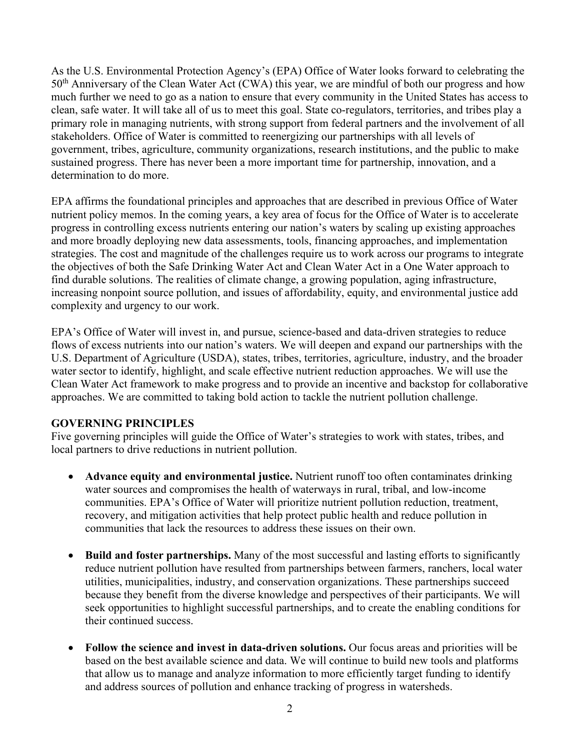As the U.S. Environmental Protection Agency's (EPA) Office of Water looks forward to celebrating the 50<sup>th</sup> Anniversary of the Clean Water Act (CWA) this year, we are mindful of both our progress and how much further we need to go as a nation to ensure that every community in the United States has access to clean, safe water. It will take all of us to meet this goal. State co-regulators, territories, and tribes play a primary role in managing nutrients, with strong support from federal partners and the involvement of all stakeholders. Office of Water is committed to reenergizing our partnerships with all levels of government, tribes, agriculture, community organizations, research institutions, and the public to make sustained progress. There has never been a more important time for partnership, innovation, and a determination to do more.

EPA affirms the foundational principles and approaches that are described in previous Office of Water nutrient policy memos. In the coming years, a key area of focus for the Office of Water is to accelerate progress in controlling excess nutrients entering our nation's waters by scaling up existing approaches and more broadly deploying new data assessments, tools, financing approaches, and implementation strategies. The cost and magnitude of the challenges require us to work across our programs to integrate the objectives of both the Safe Drinking Water Act and Clean Water Act in a One Water approach to find durable solutions. The realities of climate change, a growing population, aging infrastructure, increasing nonpoint source pollution, and issues of affordability, equity, and environmental justice add complexity and urgency to our work.

EPA's Office of Water will invest in, and pursue, science-based and data-driven strategies to reduce flows of excess nutrients into our nation's waters. We will deepen and expand our partnerships with the U.S. Department of Agriculture (USDA), states, tribes, territories, agriculture, industry, and the broader water sector to identify, highlight, and scale effective nutrient reduction approaches. We will use the Clean Water Act framework to make progress and to provide an incentive and backstop for collaborative approaches. We are committed to taking bold action to tackle the nutrient pollution challenge.

## **GOVERNING PRINCIPLES**

Five governing principles will guide the Office of Water's strategies to work with states, tribes, and local partners to drive reductions in nutrient pollution.

- **Advance equity and environmental justice.** Nutrient runoff too often contaminates drinking water sources and compromises the health of waterways in rural, tribal, and low-income communities. EPA's Office of Water will prioritize nutrient pollution reduction, treatment, recovery, and mitigation activities that help protect public health and reduce pollution in communities that lack the resources to address these issues on their own.
- **Build and foster partnerships.** Many of the most successful and lasting efforts to significantly reduce nutrient pollution have resulted from partnerships between farmers, ranchers, local water utilities, municipalities, industry, and conservation organizations. These partnerships succeed because they benefit from the diverse knowledge and perspectives of their participants. We will seek opportunities to highlight successful partnerships, and to create the enabling conditions for their continued success.
- **Follow the science and invest in data-driven solutions.** Our focus areas and priorities will be based on the best available science and data. We will continue to build new tools and platforms that allow us to manage and analyze information to more efficiently target funding to identify and address sources of pollution and enhance tracking of progress in watersheds.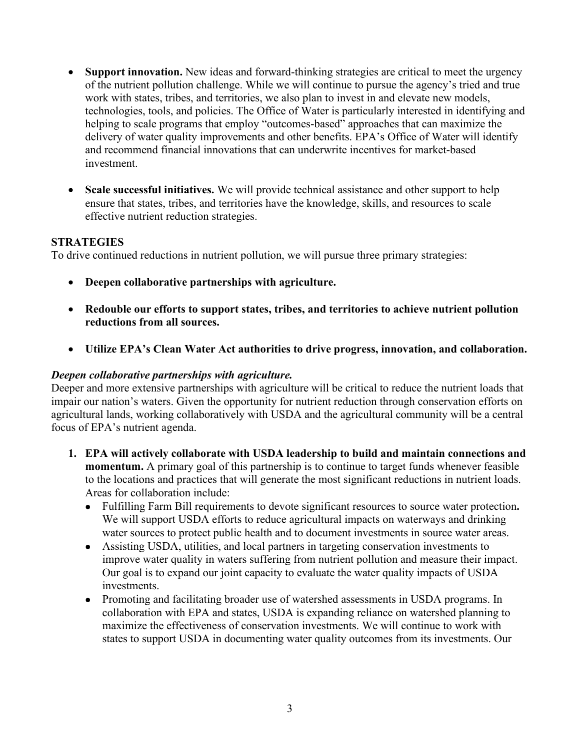- **Support innovation.** New ideas and forward-thinking strategies are critical to meet the urgency of the nutrient pollution challenge. While we will continue to pursue the agency's tried and true work with states, tribes, and territories, we also plan to invest in and elevate new models, technologies, tools, and policies. The Office of Water is particularly interested in identifying and helping to scale programs that employ "outcomes-based" approaches that can maximize the delivery of water quality improvements and other benefits. EPA's Office of Water will identify and recommend financial innovations that can underwrite incentives for market-based investment.
- **Scale successful initiatives.** We will provide technical assistance and other support to help ensure that states, tribes, and territories have the knowledge, skills, and resources to scale effective nutrient reduction strategies.

## **STRATEGIES**

To drive continued reductions in nutrient pollution, we will pursue three primary strategies:

- **Deepen collaborative partnerships with agriculture.**
- **Redouble our efforts to support states, tribes, and territories to achieve nutrient pollution reductions from all sources.**
- **Utilize EPA's Clean Water Act authorities to drive progress, innovation, and collaboration.**

#### *Deepen collaborative partnerships with agriculture.*

Deeper and more extensive partnerships with agriculture will be critical to reduce the nutrient loads that impair our nation's waters. Given the opportunity for nutrient reduction through conservation efforts on agricultural lands, working collaboratively with USDA and the agricultural community will be a central focus of EPA's nutrient agenda.

- **1. EPA will actively collaborate with USDA leadership to build and maintain connections and momentum.** A primary goal of this partnership is to continue to target funds whenever feasible to the locations and practices that will generate the most significant reductions in nutrient loads. Areas for collaboration include:
	- Fulfilling Farm Bill requirements to devote significant resources to source water protection**.**  We will support USDA efforts to reduce agricultural impacts on waterways and drinking water sources to protect public health and to document investments in source water areas.
	- Assisting USDA, utilities, and local partners in targeting conservation investments to improve water quality in waters suffering from nutrient pollution and measure their impact. Our goal is to expand our joint capacity to evaluate the water quality impacts of USDA investments.
	- Promoting and facilitating broader use of watershed assessments in USDA programs. In collaboration with EPA and states, USDA is expanding reliance on watershed planning to maximize the effectiveness of conservation investments. We will continue to work with states to support USDA in documenting water quality outcomes from its investments. Our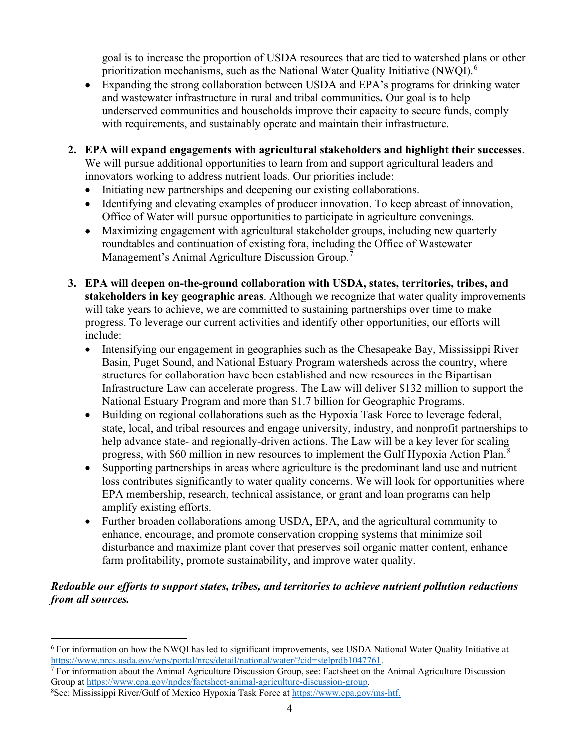goal is to increase the proportion of USDA resources that are tied to watershed plans or other prioritization mechanisms, such as the National Water Quality Initiative (NWQI).<sup>[6](#page-3-0)</sup>

- Expanding the strong collaboration between USDA and EPA's programs for drinking water and wastewater infrastructure in rural and tribal communities**.** Our goal is to help underserved communities and households improve their capacity to secure funds, comply with requirements, and sustainably operate and maintain their infrastructure.
- **2. EPA will expand engagements with agricultural stakeholders and highlight their successes**. We will pursue additional opportunities to learn from and support agricultural leaders and innovators working to address nutrient loads. Our priorities include:
	- Initiating new partnerships and deepening our existing collaborations.
	- Identifying and elevating examples of producer innovation. To keep abreast of innovation, Office of Water will pursue opportunities to participate in agriculture convenings.
	- Maximizing engagement with agricultural stakeholder groups, including new quarterly roundtables and continuation of existing fora, including the Office of Wastewater Management's Animal Agriculture Discussion Group.<sup>[7](#page-3-1)</sup>
- **3. EPA will deepen on-the-ground collaboration with USDA, states, territories, tribes, and stakeholders in key geographic areas**. Although we recognize that water quality improvements will take years to achieve, we are committed to sustaining partnerships over time to make progress. To leverage our current activities and identify other opportunities, our efforts will include:
	- Intensifying our engagement in geographies such as the Chesapeake Bay, Mississippi River Basin, Puget Sound, and National Estuary Program watersheds across the country, where structures for collaboration have been established and new resources in the Bipartisan Infrastructure Law can accelerate progress. The Law will deliver \$132 million to support the National Estuary Program and more than \$1.7 billion for Geographic Programs.
	- Building on regional collaborations such as the Hypoxia Task Force to leverage federal, state, local, and tribal resources and engage university, industry, and nonprofit partnerships to help advance state- and regionally-driven actions. The Law will be a key lever for scaling progress, with \$60 million in new resources to implement the Gulf Hypoxia Action Plan.<sup>[8](#page-3-2)</sup>
	- Supporting partnerships in areas where agriculture is the predominant land use and nutrient loss contributes significantly to water quality concerns. We will look for opportunities where EPA membership, research, technical assistance, or grant and loan programs can help amplify existing efforts.
	- Further broaden collaborations among USDA, EPA, and the agricultural community to enhance, encourage, and promote conservation cropping systems that minimize soil disturbance and maximize plant cover that preserves soil organic matter content, enhance farm profitability, promote sustainability, and improve water quality.

# *Redouble our efforts to support states, tribes, and territories to achieve nutrient pollution reductions from all sources.*

<span id="page-3-0"></span><sup>6</sup> For information on how the NWQI has led to significant improvements, see USDA National Water Quality Initiative at [https://www.nrcs.usda.gov/wps/portal/nrcs/detail/national/water/?cid=stelprdb1047761.](https://www.nrcs.usda.gov/wps/portal/nrcs/detail/national/water/?cid=stelprdb1047761)<br><sup>7</sup> For information about the Animal Agriculture Discussion Group, see: Factsheet on the Animal Agriculture Discussion

<span id="page-3-1"></span>Group at [https://www.epa.gov/npdes/factsheet-animal-agriculture-discussion-group.](https://www.epa.gov/npdes/factsheet-animal-agriculture-discussion-group) 8

<span id="page-3-2"></span>See: Mississippi River/Gulf of Mexico Hypoxia Task Force a[t https://www.epa.gov/ms-htf.](https://www.epa.gov/ms-htf)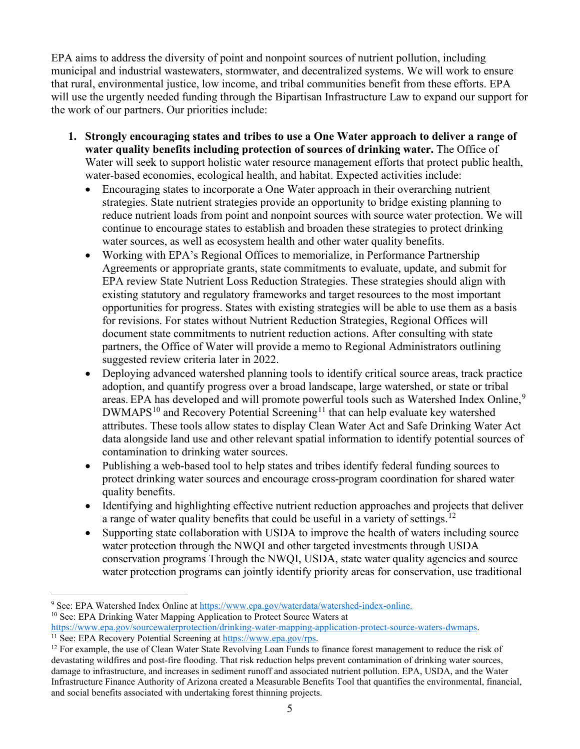EPA aims to address the diversity of point and nonpoint sources of nutrient pollution, including municipal and industrial wastewaters, stormwater, and decentralized systems. We will work to ensure that rural, environmental justice, low income, and tribal communities benefit from these efforts. EPA will use the urgently needed funding through the Bipartisan Infrastructure Law to expand our support for the work of our partners. Our priorities include:

- **1. Strongly encouraging states and tribes to use a One Water approach to deliver a range of water quality benefits including protection of sources of drinking water.** The Office of Water will seek to support holistic water resource management efforts that protect public health, water-based economies, ecological health, and habitat. Expected activities include:
	- Encouraging states to incorporate a One Water approach in their overarching nutrient strategies. State nutrient strategies provide an opportunity to bridge existing planning to reduce nutrient loads from point and nonpoint sources with source water protection. We will continue to encourage states to establish and broaden these strategies to protect drinking water sources, as well as ecosystem health and other water quality benefits.
	- Working with EPA's Regional Offices to memorialize, in Performance Partnership Agreements or appropriate grants, state commitments to evaluate, update, and submit for EPA review State Nutrient Loss Reduction Strategies. These strategies should align with existing statutory and regulatory frameworks and target resources to the most important opportunities for progress. States with existing strategies will be able to use them as a basis for revisions. For states without Nutrient Reduction Strategies, Regional Offices will document state commitments to nutrient reduction actions. After consulting with state partners, the Office of Water will provide a memo to Regional Administrators outlining suggested review criteria later in 2022.
	- Deploying advanced watershed planning tools to identify critical source areas, track practice adoption, and quantify progress over a broad landscape, large watershed, or state or tribal areas. EPA has developed and will promote powerful tools such as Watershed Index Online,<sup>[9](#page-4-0)</sup>  $DWMAPS<sup>10</sup>$  $DWMAPS<sup>10</sup>$  $DWMAPS<sup>10</sup>$  and Recovery Potential Screening<sup>[11](#page-4-2)</sup> that can help evaluate key watershed attributes. These tools allow states to display Clean Water Act and Safe Drinking Water Act data alongside land use and other relevant spatial information to identify potential sources of contamination to drinking water sources.
	- Publishing a web-based tool to help states and tribes identify federal funding sources to protect drinking water sources and encourage cross-program coordination for shared water quality benefits.
	- Identifying and highlighting effective nutrient reduction approaches and projects that deliver a range of water quality benefits that could be useful in a variety of settings.<sup>[12](#page-4-3)</sup>
	- Supporting state collaboration with USDA to improve the health of waters including source water protection through the NWQI and other targeted investments through USDA conservation programs Through the NWQI, USDA, state water quality agencies and source water protection programs can jointly identify priority areas for conservation, use traditional

<span id="page-4-0"></span><sup>&</sup>lt;sup>9</sup> See: EPA Watershed Index Online at  $\frac{https://www.epa.gov/waterdata/watershed-index-only<sup>10</sup> See: EPA Drinking Water Mapping Application to protect Source Waters at$ 

<span id="page-4-1"></span>

<span id="page-4-2"></span>[https://www.epa.gov/sourcewaterprotection/drinking-water-mapping-application-protect-source-waters-dwmaps.](https://www.epa.gov/sourcewaterprotection/drinking-water-mapping-application-protect-source-waters-dwmaps)<br><sup>11</sup> See: EPA Recovery Potential Screening at [https://www.epa.gov/rps.](https://www.epa.gov/rps)<br><sup>12</sup> For example, the use of Clean Water Sta

<span id="page-4-3"></span>devastating wildfires and post-fire flooding. That risk reduction helps prevent contamination of drinking water sources, damage to infrastructure, and increases in sediment runoff and associated nutrient pollution. EPA, USDA, and the Water Infrastructure Finance Authority of Arizona created a Measurable Benefits Tool that quantifies the environmental, financial, and social benefits associated with undertaking forest thinning projects.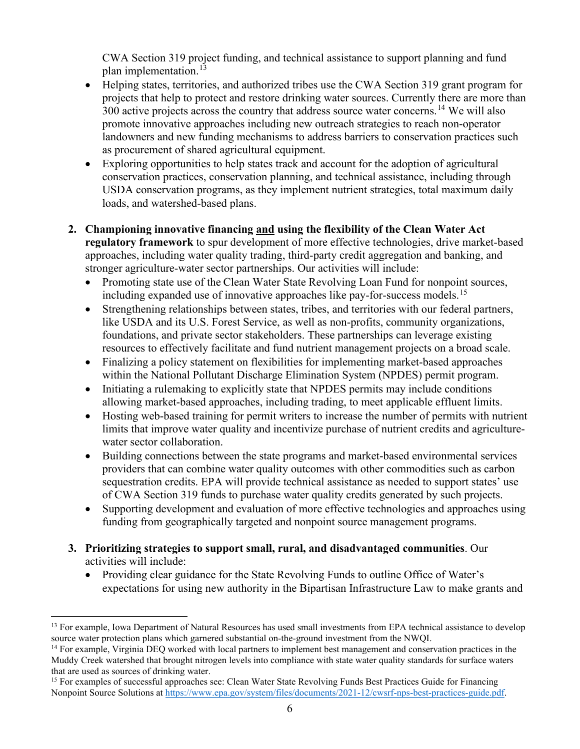CWA Section 319 project funding, and technical assistance to support planning and fund plan implementation.<sup>13</sup>

- Helping states, territories, and authorized tribes use the CWA Section 319 grant program for projects that help to protect and restore drinking water sources. Currently there are more than 300 active projects across the country that address source water concerns.<sup>[14](#page-5-1)</sup> We will also promote innovative approaches including new outreach strategies to reach non-operator landowners and new funding mechanisms to address barriers to conservation practices such as procurement of shared agricultural equipment.
- Exploring opportunities to help states track and account for the adoption of agricultural conservation practices, conservation planning, and technical assistance, including through USDA conservation programs, as they implement nutrient strategies, total maximum daily loads, and watershed-based plans.
- **2. Championing innovative financing and using the flexibility of the Clean Water Act regulatory framework** to spur development of more effective technologies, drive market-based approaches, including water quality trading, third-party credit aggregation and banking, and stronger agriculture-water sector partnerships. Our activities will include:
	- Promoting state use of the Clean Water State Revolving Loan Fund for nonpoint sources, including expanded use of innovative approaches like pay-for-success models.<sup>[15](#page-5-2)</sup>
	- Strengthening relationships between states, tribes, and territories with our federal partners, like USDA and its U.S. Forest Service, as well as non-profits, community organizations, foundations, and private sector stakeholders. These partnerships can leverage existing resources to effectively facilitate and fund nutrient management projects on a broad scale.
	- Finalizing a policy statement on flexibilities for implementing market-based approaches within the National Pollutant Discharge Elimination System (NPDES) permit program.
	- Initiating a rulemaking to explicitly state that NPDES permits may include conditions allowing market-based approaches, including trading, to meet applicable effluent limits.
	- Hosting web-based training for permit writers to increase the number of permits with nutrient limits that improve water quality and incentivize purchase of nutrient credits and agriculturewater sector collaboration.
	- Building connections between the state programs and market-based environmental services providers that can combine water quality outcomes with other commodities such as carbon sequestration credits. EPA will provide technical assistance as needed to support states' use of CWA Section 319 funds to purchase water quality credits generated by such projects.
	- Supporting development and evaluation of more effective technologies and approaches using funding from geographically targeted and nonpoint source management programs.
- **3. Prioritizing strategies to support small, rural, and disadvantaged communities**. Our activities will include:
	- Providing clear guidance for the State Revolving Funds to outline Office of Water's expectations for using new authority in the Bipartisan Infrastructure Law to make grants and

<span id="page-5-0"></span><sup>&</sup>lt;sup>13</sup> For example, Iowa Department of Natural Resources has used small investments from EPA technical assistance to develop source water protection plans which garnered substantial on-the-ground investment from the NWQI.

<span id="page-5-1"></span><sup>&</sup>lt;sup>14</sup> For example, Virginia DEQ worked with local partners to implement best management and conservation practices in the Muddy Creek watershed that brought nitrogen levels into compliance with state water quality standards for surface waters that are used as sources of drinking water.

<span id="page-5-2"></span><sup>&</sup>lt;sup>15</sup> For examples of successful approaches see: Clean Water State Revolving Funds Best Practices Guide for Financing Nonpoint Source Solutions a[t https://www.epa.gov/system/files/documents/2021-12/cwsrf-nps-best-practices-guide.pdf.](https://www.epa.gov/system/files/documents/2021-12/cwsrf-nps-best-practices-guide.pdf)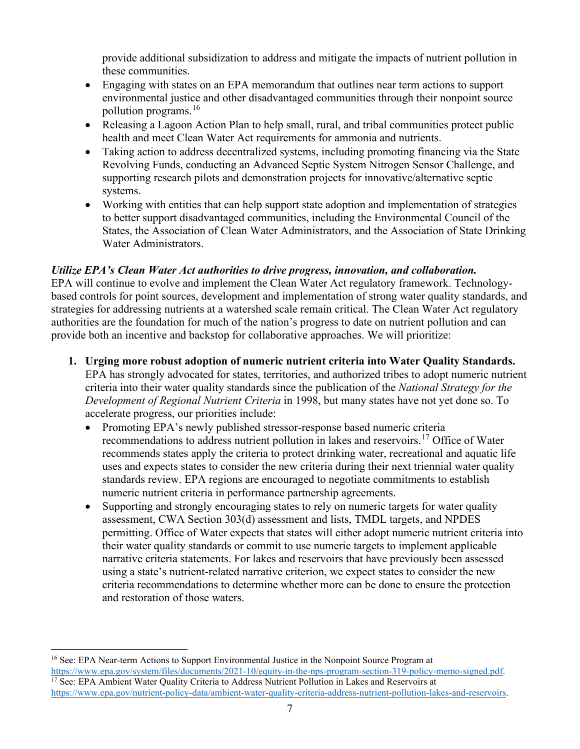provide additional subsidization to address and mitigate the impacts of nutrient pollution in these communities.

- Engaging with states on an EPA memorandum that outlines near term actions to support environmental justice and other disadvantaged communities through their nonpoint source pollution programs. $16$
- Releasing a Lagoon Action Plan to help small, rural, and tribal communities protect public health and meet Clean Water Act requirements for ammonia and nutrients.
- Taking action to address decentralized systems, including promoting financing via the State Revolving Funds, conducting an Advanced Septic System Nitrogen Sensor Challenge, and supporting research pilots and demonstration projects for innovative/alternative septic systems.
- Working with entities that can help support state adoption and implementation of strategies to better support disadvantaged communities, including the Environmental Council of the States, the Association of Clean Water Administrators, and the Association of State Drinking Water Administrators.

# *Utilize EPA's Clean Water Act authorities to drive progress, innovation, and collaboration.*

EPA will continue to evolve and implement the Clean Water Act regulatory framework. Technologybased controls for point sources, development and implementation of strong water quality standards, and strategies for addressing nutrients at a watershed scale remain critical. The Clean Water Act regulatory authorities are the foundation for much of the nation's progress to date on nutrient pollution and can provide both an incentive and backstop for collaborative approaches. We will prioritize:

- **1. Urging more robust adoption of numeric nutrient criteria into Water Quality Standards.**  EPA has strongly advocated for states, territories, and authorized tribes to adopt numeric nutrient criteria into their water quality standards since the publication of the *National Strategy for the Development of Regional Nutrient Criteria* in 1998, but many states have not yet done so. To accelerate progress, our priorities include:
	- Promoting EPA's newly published stressor-response based numeric criteria recommendations to address nutrient pollution in lakes and reservoirs.<sup>[17](#page-6-1)</sup> Office of Water recommends states apply the criteria to protect drinking water, recreational and aquatic life uses and expects states to consider the new criteria during their next triennial water quality standards review. EPA regions are encouraged to negotiate commitments to establish numeric nutrient criteria in performance partnership agreements.
	- Supporting and strongly encouraging states to rely on numeric targets for water quality assessment, CWA Section 303(d) assessment and lists, TMDL targets, and NPDES permitting. Office of Water expects that states will either adopt numeric nutrient criteria into their water quality standards or commit to use numeric targets to implement applicable narrative criteria statements. For lakes and reservoirs that have previously been assessed using a state's nutrient-related narrative criterion, we expect states to consider the new criteria recommendations to determine whether more can be done to ensure the protection and restoration of those waters.

<span id="page-6-1"></span><span id="page-6-0"></span><sup>&</sup>lt;sup>16</sup> See: EPA Near-term Actions to Support Environmental Justice in the Nonpoint Source Program at [https://www.epa.gov/system/files/documents/2021-10/equity-in-the-nps-program-section-319-policy-memo-signed.pdf.](https://www.epa.gov/system/files/documents/2021-10/equity-in-the-nps-program-section-319-policy-memo-signed.pdf) <sup>17</sup> See: EPA Ambient Water Quality Criteria to Address Nutrient Pollution in Lakes and Reservoirs at [https://www.epa.gov/nutrient-policy-data/ambient-water-quality-criteria-address-nutrient-pollution-lakes-and-reservoirs.](https://www.epa.gov/nutrient-policy-data/ambient-water-quality-criteria-address-nutrient-pollution-lakes-and-reservoirs)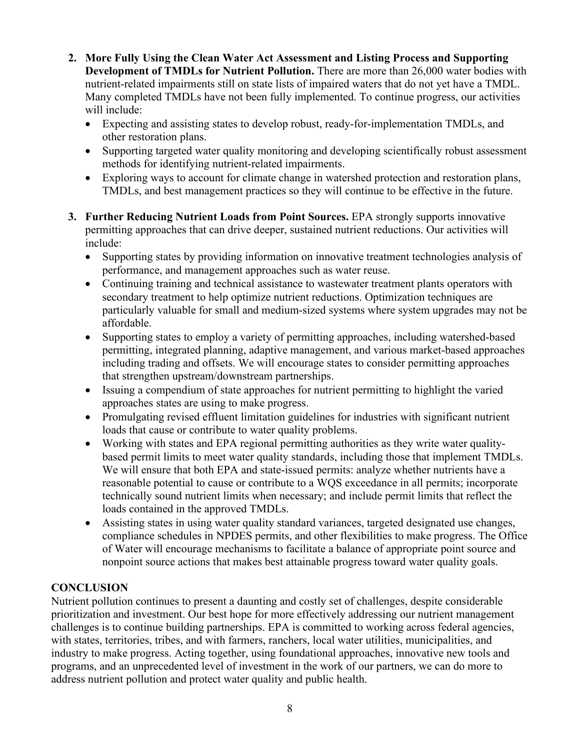- **2. More Fully Using the Clean Water Act Assessment and Listing Process and Supporting Development of TMDLs for Nutrient Pollution.** There are more than 26,000 water bodies with nutrient-related impairments still on state lists of impaired waters that do not yet have a TMDL. Many completed TMDLs have not been fully implemented. To continue progress, our activities will include:
	- Expecting and assisting states to develop robust, ready-for-implementation TMDLs, and other restoration plans.
	- Supporting targeted water quality monitoring and developing scientifically robust assessment methods for identifying nutrient-related impairments.
	- Exploring ways to account for climate change in watershed protection and restoration plans, TMDLs, and best management practices so they will continue to be effective in the future.
- **3. Further Reducing Nutrient Loads from Point Sources.** EPA strongly supports innovative permitting approaches that can drive deeper, sustained nutrient reductions. Our activities will include:
	- Supporting states by providing information on innovative treatment technologies analysis of performance, and management approaches such as water reuse.
	- Continuing training and technical assistance to wastewater treatment plants operators with secondary treatment to help optimize nutrient reductions. Optimization techniques are particularly valuable for small and medium-sized systems where system upgrades may not be affordable.
	- Supporting states to employ a variety of permitting approaches, including watershed-based permitting, integrated planning, adaptive management, and various market-based approaches including trading and offsets. We will encourage states to consider permitting approaches that strengthen upstream/downstream partnerships.
	- Issuing a compendium of state approaches for nutrient permitting to highlight the varied approaches states are using to make progress.
	- Promulgating revised effluent limitation guidelines for industries with significant nutrient loads that cause or contribute to water quality problems.
	- Working with states and EPA regional permitting authorities as they write water qualitybased permit limits to meet water quality standards, including those that implement TMDLs. We will ensure that both EPA and state-issued permits: analyze whether nutrients have a reasonable potential to cause or contribute to a WQS exceedance in all permits; incorporate technically sound nutrient limits when necessary; and include permit limits that reflect the loads contained in the approved TMDLs.
	- Assisting states in using water quality standard variances, targeted designated use changes, compliance schedules in NPDES permits, and other flexibilities to make progress. The Office of Water will encourage mechanisms to facilitate a balance of appropriate point source and nonpoint source actions that makes best attainable progress toward water quality goals.

# **CONCLUSION**

Nutrient pollution continues to present a daunting and costly set of challenges, despite considerable prioritization and investment. Our best hope for more effectively addressing our nutrient management challenges is to continue building partnerships. EPA is committed to working across federal agencies, with states, territories, tribes, and with farmers, ranchers, local water utilities, municipalities, and industry to make progress. Acting together, using foundational approaches, innovative new tools and programs, and an unprecedented level of investment in the work of our partners, we can do more to address nutrient pollution and protect water quality and public health.